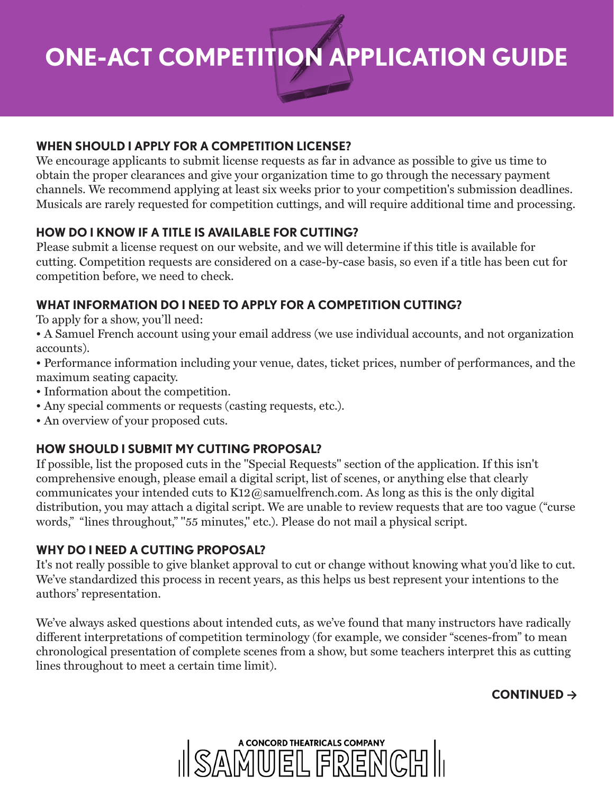**ONE-ACT COMPETITION APPLICATION GUIDE**

#### **WHEN SHOULD I APPLY FOR A COMPETITION LICENSE?**

We encourage applicants to submit license requests as far in advance as possible to give us time to obtain the proper clearances and give your organization time to go through the necessary payment channels. We recommend applying at least six weeks prior to your competition's submission deadlines. Musicals are rarely requested for competition cuttings, and will require additional time and processing.

#### **HOW DO I KNOW IF A TITLE IS AVAILABLE FOR CUTTING?**

Please submit a license request on our website, and we will determine if this title is available for cutting. Competition requests are considered on a case-by-case basis, so even if a title has been cut for competition before, we need to check.

#### **WHAT INFORMATION DO I NEED TO APPLY FOR A COMPETITION CUTTING?**

To apply for a show, you'll need:

• A Samuel French account using your email address (we use individual accounts, and not organization accounts).

• Performance information including your venue, dates, ticket prices, number of performances, and the maximum seating capacity.

- Information about the competition.
- Any special comments or requests (casting requests, etc.).
- An overview of your proposed cuts.

#### **HOW SHOULD I SUBMIT MY CUTTING PROPOSAL?**

If possible, list the proposed cuts in the "Special Requests" section of the application. If this isn't comprehensive enough, please email a digital script, list of scenes, or anything else that clearly communicates your intended cuts to K12@samuelfrench.com. As long as this is the only digital distribution, you may attach a digital script. We are unable to review requests that are too vague ("curse words," "lines throughout," "55 minutes," etc.). Please do not mail a physical script.

#### **WHY DO I NEED A CUTTING PROPOSAL?**

It's not really possible to give blanket approval to cut or change without knowing what you'd like to cut. We've standardized this process in recent years, as this helps us best represent your intentions to the authors' representation.

We've always asked questions about intended cuts, as we've found that many instructors have radically different interpretations of competition terminology (for example, we consider "scenes-from" to mean chronological presentation of complete scenes from a show, but some teachers interpret this as cutting lines throughout to meet a certain time limit).

#### **CONTINUED →**